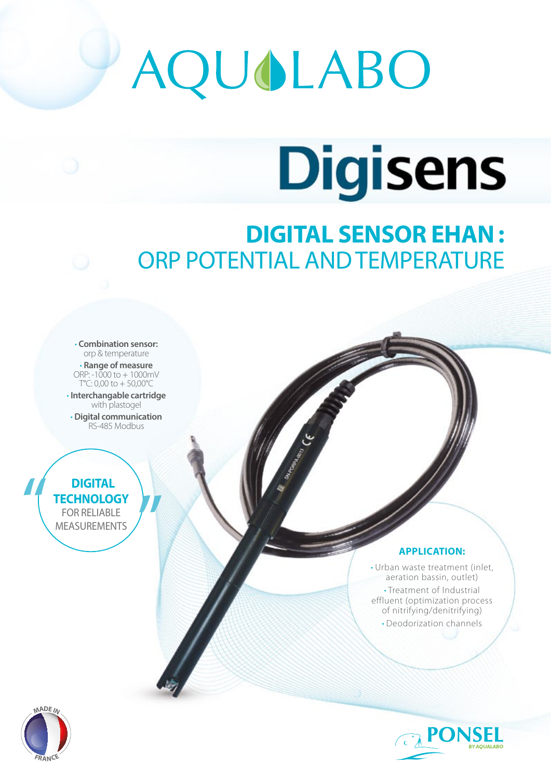# AQUOLABO

## **Digisens**

### **DIGITAL SENSOR EHAN :**  ORP POTENTIAL AND TEMPERATURE

• **Combination sensor:** orp & temperature • **Range of measure**  ORP:  $-1000$  to  $+1000$  mV T°C: 0,00 to + 50,00°C

• **Interchangable cartridge**  with plastogel

• **Digital communication** RS-485 Modbus

#### **DIGITAL TECHNOLOGY** FOR RELIABLE MEASUREMENTS

#### **APPLICATION:**

• Urban waste treatment (inlet, aeration bassin, outlet) • Treatment of Industrial effluent (optimization process of nitrifying/denitrifying) • Deodorization channels